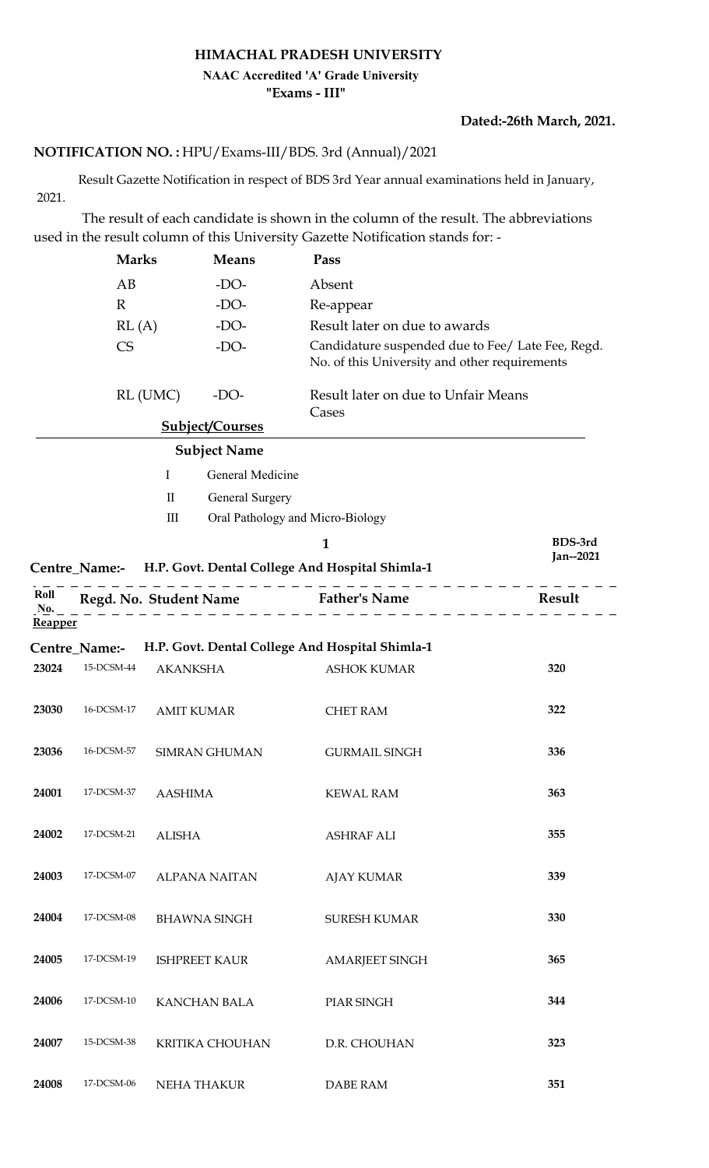## **HIMACHAL PRADESH UNIVERSITY "Exams - III" NAAC Accredited 'A' Grade University**

### **Dated:-26th March, 2021.**

# HPU/Exams-III/BDS. 3rd (Annual)/2021 **NOTIFICATION NO. :**

 Result Gazette Notification in respect of BDS 3rd Year annual examinations held in January, 2021.

 The result of each candidate is shown in the column of the result. The abbreviations used in the result column of this University Gazette Notification stands for: -

|         | <b>Marks</b>  |                   | <b>Means</b>           | Pass                                                                                               |           |
|---------|---------------|-------------------|------------------------|----------------------------------------------------------------------------------------------------|-----------|
|         | AB            |                   | $-DO-$                 | Absent                                                                                             |           |
|         | $\mathbb{R}$  |                   | $-DO-$                 | Re-appear                                                                                          |           |
|         | RL(A)         |                   | $-DO-$                 | Result later on due to awards                                                                      |           |
|         | CS            |                   | $-DO-$                 | Candidature suspended due to Fee/ Late Fee, Regd.<br>No. of this University and other requirements |           |
|         |               | RL (UMC)          | $-DO-$                 | Result later on due to Unfair Means<br>Cases                                                       |           |
|         |               |                   | <b>Subject/Courses</b> |                                                                                                    |           |
|         |               |                   | <b>Subject Name</b>    |                                                                                                    |           |
|         |               | $\mathbf I$       | General Medicine       |                                                                                                    |           |
|         |               | $\mathbf{I}$      | General Surgery        |                                                                                                    |           |
|         |               | $\rm III$         |                        | Oral Pathology and Micro-Biology                                                                   |           |
|         |               |                   |                        | $\mathbf{1}$                                                                                       | BDS-3rd   |
|         |               |                   |                        | Centre_Name:- H.P. Govt. Dental College And Hospital Shimla-1                                      | Jan--2021 |
| Roll    |               |                   |                        |                                                                                                    |           |
| No.     |               |                   |                        | Regd. No. Student Name Father's Name                                                               | Result    |
| Reapper |               |                   |                        |                                                                                                    |           |
|         | Centre_Name:- |                   |                        | H.P. Govt. Dental College And Hospital Shimla-1                                                    |           |
| 23024   | 15-DCSM-44    | <b>AKANKSHA</b>   |                        | <b>ASHOK KUMAR</b>                                                                                 | 320       |
| 23030   | 16-DCSM-17    | <b>AMIT KUMAR</b> |                        | <b>CHET RAM</b>                                                                                    | 322       |
| 23036   | 16-DCSM-57    |                   | <b>SIMRAN GHUMAN</b>   | <b>GURMAIL SINGH</b>                                                                               | 336       |
| 24001   | 17-DCSM-37    | <b>AASHIMA</b>    |                        | <b>KEWAL RAM</b>                                                                                   | 363       |
| 24002   | 17-DCSM-21    | <b>ALISHA</b>     |                        | <b>ASHRAF ALI</b>                                                                                  | 355       |
| 24003   | 17-DCSM-07    |                   | <b>ALPANA NAITAN</b>   | <b>AJAY KUMAR</b>                                                                                  | 339       |
| 24004   | 17-DCSM-08    |                   | <b>BHAWNA SINGH</b>    | <b>SURESH KUMAR</b>                                                                                | 330       |
| 24005   | 17-DCSM-19    |                   | <b>ISHPREET KAUR</b>   | <b>AMARJEET SINGH</b>                                                                              | 365       |
| 24006   | 17-DCSM-10    |                   | <b>KANCHAN BALA</b>    | PIAR SINGH                                                                                         | 344       |
| 24007   | 15-DCSM-38    |                   | KRITIKA CHOUHAN        | D.R. CHOUHAN                                                                                       | 323       |
| 24008   | 17-DCSM-06    | NEHA THAKUR       |                        | DABE RAM                                                                                           | 351       |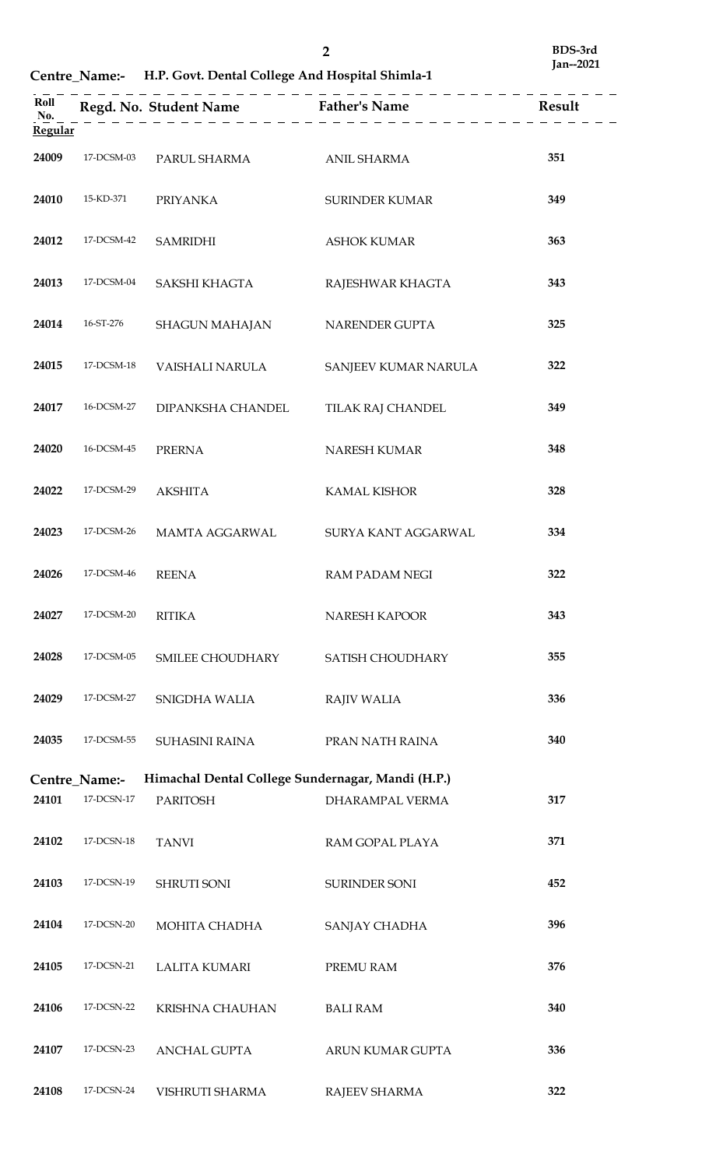**Centre\_Name:- H.P. Govt. Dental College And Hospital Shimla-1**

| Roll                  |               | Regd. No. Student Name Father's Name              |                       | Result |
|-----------------------|---------------|---------------------------------------------------|-----------------------|--------|
| No.<br><b>Regular</b> |               |                                                   |                       |        |
| 24009                 | 17-DCSM-03    | PARUL SHARMA                                      | <b>ANIL SHARMA</b>    | 351    |
| 24010                 | 15-KD-371     | <b>PRIYANKA</b>                                   | <b>SURINDER KUMAR</b> | 349    |
| 24012                 | 17-DCSM-42    | <b>SAMRIDHI</b>                                   | <b>ASHOK KUMAR</b>    | 363    |
| 24013                 | 17-DCSM-04    | SAKSHI KHAGTA                                     | RAJESHWAR KHAGTA      | 343    |
| 24014                 | 16-ST-276     | SHAGUN MAHAJAN                                    | NARENDER GUPTA        | 325    |
| 24015                 | 17-DCSM-18    | VAISHALI NARULA                                   | SANJEEV KUMAR NARULA  | 322    |
| 24017                 | 16-DCSM-27    | DIPANKSHA CHANDEL                                 | TILAK RAJ CHANDEL     | 349    |
| 24020                 | 16-DCSM-45    | <b>PRERNA</b>                                     | NARESH KUMAR          | 348    |
| 24022                 | 17-DCSM-29    | <b>AKSHITA</b>                                    | <b>KAMAL KISHOR</b>   | 328    |
| 24023                 | 17-DCSM-26    | MAMTA AGGARWAL                                    | SURYA KANT AGGARWAL   | 334    |
| 24026                 | 17-DCSM-46    | <b>REENA</b>                                      | <b>RAM PADAM NEGI</b> | 322    |
| 24027                 | 17-DCSM-20    | <b>RITIKA</b>                                     | NARESH KAPOOR         | 343    |
| 24028                 | 17-DCSM-05    | SMILEE CHOUDHARY                                  | SATISH CHOUDHARY      | 355    |
| 24029                 | 17-DCSM-27    | SNIGDHA WALIA                                     | <b>RAJIV WALIA</b>    | 336    |
| 24035                 | 17-DCSM-55    | SUHASINI RAINA                                    | PRAN NATH RAINA       | 340    |
|                       | Centre_Name:- | Himachal Dental College Sundernagar, Mandi (H.P.) |                       |        |
| 24101                 | 17-DCSN-17    | <b>PARITOSH</b>                                   | DHARAMPAL VERMA       | 317    |
| 24102                 | 17-DCSN-18    | <b>TANVI</b>                                      | RAM GOPAL PLAYA       | 371    |
| 24103                 | 17-DCSN-19    | <b>SHRUTI SONI</b>                                | <b>SURINDER SONI</b>  | 452    |
| 24104                 | 17-DCSN-20    | MOHITA CHADHA                                     | SANJAY CHADHA         | 396    |
| 24105                 | 17-DCSN-21    | LALITA KUMARI                                     | PREMU RAM             | 376    |
| 24106                 | 17-DCSN-22    | KRISHNA CHAUHAN                                   | <b>BALI RAM</b>       | 340    |
| 24107                 | 17-DCSN-23    | ANCHAL GUPTA                                      | ARUN KUMAR GUPTA      | 336    |
| 24108                 | 17-DCSN-24    | VISHRUTI SHARMA                                   | RAJEEV SHARMA         | 322    |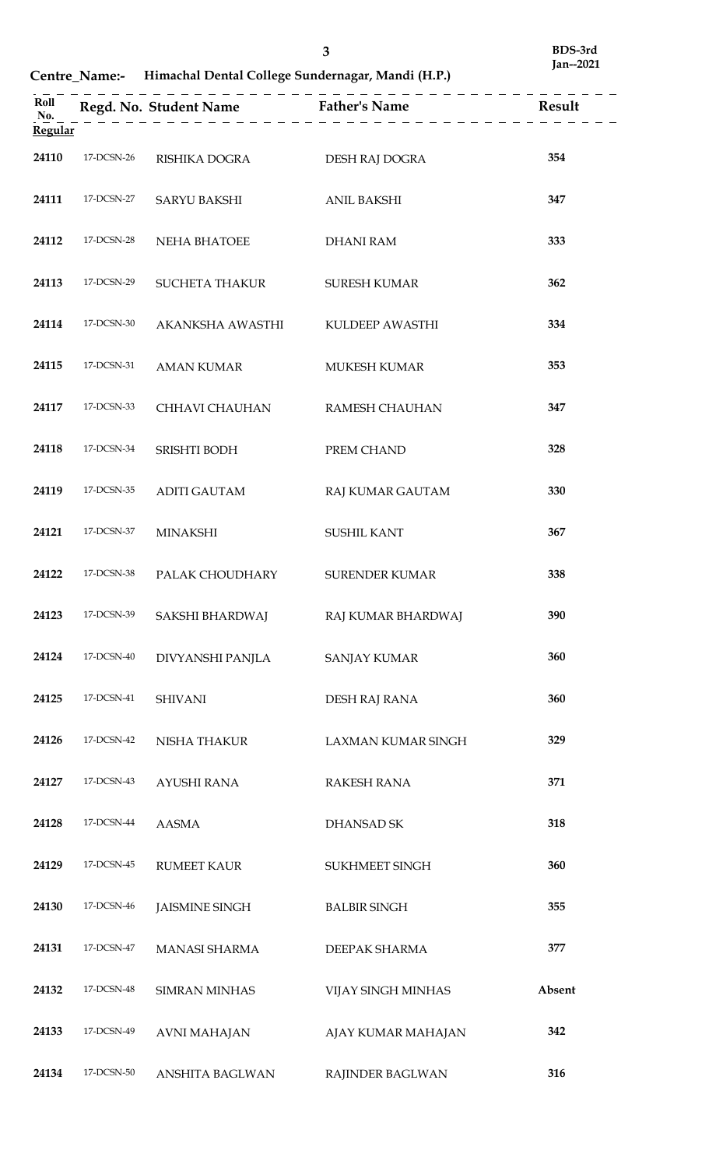**Centre\_Name:- Himachal Dental College Sundernagar, Mandi (H.P.)**

| Regular |            |                       |                       |        |
|---------|------------|-----------------------|-----------------------|--------|
| 24110   | 17-DCSN-26 | RISHIKA DOGRA         | DESH RAJ DOGRA        | 354    |
| 24111   | 17-DCSN-27 | <b>SARYU BAKSHI</b>   | <b>ANIL BAKSHI</b>    | 347    |
| 24112   | 17-DCSN-28 | NEHA BHATOEE          | <b>DHANI RAM</b>      | 333    |
| 24113   | 17-DCSN-29 | <b>SUCHETA THAKUR</b> | <b>SURESH KUMAR</b>   | 362    |
| 24114   | 17-DCSN-30 | AKANKSHA AWASTHI      | KULDEEP AWASTHI       | 334    |
| 24115   | 17-DCSN-31 | <b>AMAN KUMAR</b>     | MUKESH KUMAR          | 353    |
| 24117   | 17-DCSN-33 | CHHAVI CHAUHAN        | RAMESH CHAUHAN        | 347    |
| 24118   | 17-DCSN-34 | SRISHTI BODH          | PREM CHAND            | 328    |
| 24119   | 17-DCSN-35 | <b>ADITI GAUTAM</b>   | RAJ KUMAR GAUTAM      | 330    |
| 24121   | 17-DCSN-37 | <b>MINAKSHI</b>       | <b>SUSHIL KANT</b>    | 367    |
| 24122   | 17-DCSN-38 | PALAK CHOUDHARY       | <b>SURENDER KUMAR</b> | 338    |
| 24123   | 17-DCSN-39 | SAKSHI BHARDWAJ       | RAJ KUMAR BHARDWAJ    | 390    |
| 24124   | 17-DCSN-40 | DIVYANSHI PANJLA      | <b>SANJAY KUMAR</b>   | 360    |
| 24125   | 17-DCSN-41 | <b>SHIVANI</b>        | DESH RAJ RANA         | 360    |
| 24126   | 17-DCSN-42 | NISHA THAKUR          | LAXMAN KUMAR SINGH    | 329    |
| 24127   | 17-DCSN-43 | <b>AYUSHI RANA</b>    | <b>RAKESH RANA</b>    | 371    |
| 24128   | 17-DCSN-44 | <b>AASMA</b>          | DHANSAD SK            | 318    |
| 24129   | 17-DCSN-45 | <b>RUMEET KAUR</b>    | SUKHMEET SINGH        | 360    |
| 24130   | 17-DCSN-46 | <b>JAISMINE SINGH</b> | <b>BALBIR SINGH</b>   | 355    |
| 24131   | 17-DCSN-47 | MANASI SHARMA         | DEEPAK SHARMA         | 377    |
| 24132   | 17-DCSN-48 | <b>SIMRAN MINHAS</b>  | VIJAY SINGH MINHAS    | Absent |
| 24133   | 17-DCSN-49 | <b>AVNI MAHAJAN</b>   | AJAY KUMAR MAHAJAN    | 342    |
| 24134   | 17-DCSN-50 | ANSHITA BAGLWAN       | RAJINDER BAGLWAN      | 316    |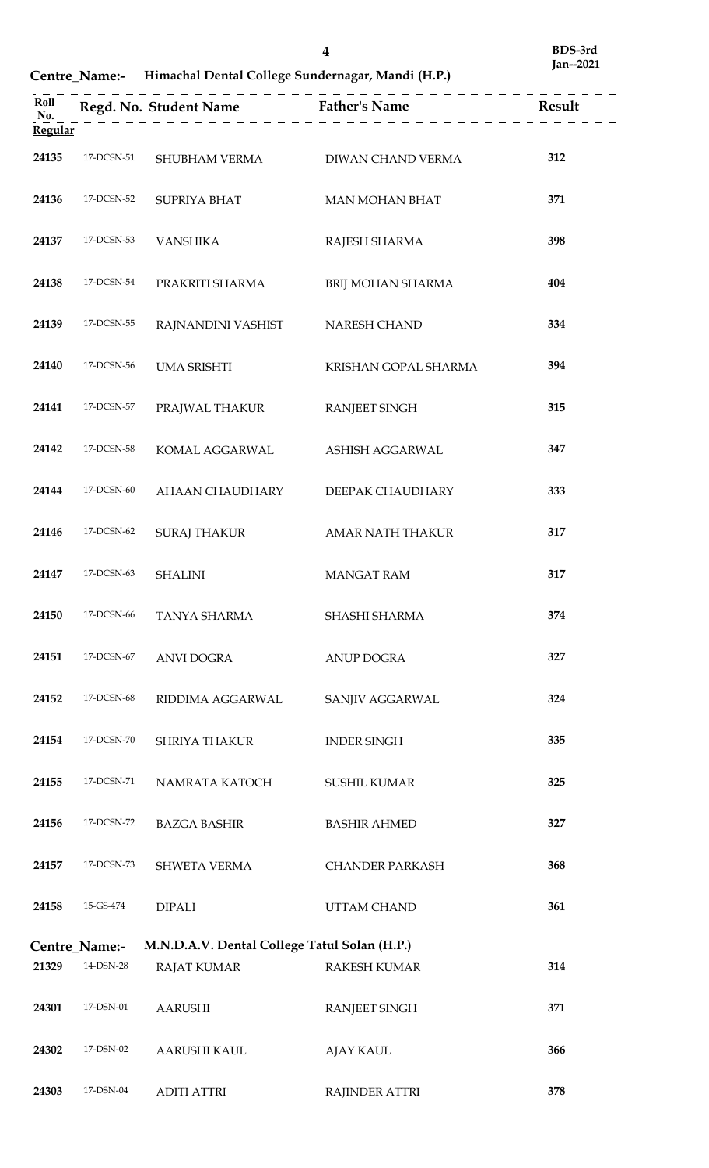**Centre\_Name:- Himachal Dental College Sundernagar, Mandi (H.P.)**

|         |               |                                              | Roll<br>$\begin{array}{c} \text{Roll} \\ \text{No.} \\ \end{array}$ Result<br>$\begin{array}{c} \text{Red. No. Student Name} \\ \end{array}$ Father's Name<br>$\begin{array}{c} \text{Father's Name} \\ \end{array}$ Result |     |
|---------|---------------|----------------------------------------------|-----------------------------------------------------------------------------------------------------------------------------------------------------------------------------------------------------------------------------|-----|
| Regular |               |                                              |                                                                                                                                                                                                                             |     |
| 24135   | 17-DCSN-51    | SHUBHAM VERMA DIWAN CHAND VERMA              |                                                                                                                                                                                                                             | 312 |
| 24136   | 17-DCSN-52    | SUPRIYA BHAT                                 | MAN MOHAN BHAT                                                                                                                                                                                                              | 371 |
| 24137   | 17-DCSN-53    | VANSHIKA                                     | RAJESH SHARMA                                                                                                                                                                                                               | 398 |
| 24138   | 17-DCSN-54    | PRAKRITI SHARMA                              | BRIJ MOHAN SHARMA                                                                                                                                                                                                           | 404 |
| 24139   | 17-DCSN-55    | RAJNANDINI VASHIST                           | NARESH CHAND                                                                                                                                                                                                                | 334 |
| 24140   | 17-DCSN-56    | UMA SRISHTI                                  | KRISHAN GOPAL SHARMA                                                                                                                                                                                                        | 394 |
| 24141   | 17-DCSN-57    | PRAJWAL THAKUR                               | <b>RANJEET SINGH</b>                                                                                                                                                                                                        | 315 |
| 24142   | 17-DCSN-58    | KOMAL AGGARWAL                               | ASHISH AGGARWAL                                                                                                                                                                                                             | 347 |
| 24144   | 17-DCSN-60    | AHAAN CHAUDHARY                              | DEEPAK CHAUDHARY                                                                                                                                                                                                            | 333 |
| 24146   | 17-DCSN-62    | <b>SURAJ THAKUR</b>                          | AMAR NATH THAKUR                                                                                                                                                                                                            | 317 |
| 24147   | 17-DCSN-63    | SHALINI                                      | <b>MANGAT RAM</b>                                                                                                                                                                                                           | 317 |
| 24150   | 17-DCSN-66    | TANYA SHARMA                                 | SHASHI SHARMA                                                                                                                                                                                                               | 374 |
| 24151   | 17-DCSN-67    | <b>ANVI DOGRA</b>                            | <b>ANUP DOGRA</b>                                                                                                                                                                                                           | 327 |
| 24152   | 17-DCSN-68    | RIDDIMA AGGARWAL                             | SANJIV AGGARWAL                                                                                                                                                                                                             | 324 |
| 24154   | 17-DCSN-70    | <b>SHRIYA THAKUR</b>                         | <b>INDER SINGH</b>                                                                                                                                                                                                          | 335 |
| 24155   | 17-DCSN-71    | NAMRATA KATOCH                               | <b>SUSHIL KUMAR</b>                                                                                                                                                                                                         | 325 |
| 24156   | 17-DCSN-72    | <b>BAZGA BASHIR</b>                          | <b>BASHIR AHMED</b>                                                                                                                                                                                                         | 327 |
| 24157   | 17-DCSN-73    | <b>SHWETA VERMA</b>                          | <b>CHANDER PARKASH</b>                                                                                                                                                                                                      | 368 |
| 24158   | 15-GS-474     | <b>DIPALI</b>                                | <b>UTTAM CHAND</b>                                                                                                                                                                                                          | 361 |
|         | Centre_Name:- | M.N.D.A.V. Dental College Tatul Solan (H.P.) |                                                                                                                                                                                                                             |     |
| 21329   | 14-DSN-28     | <b>RAJAT KUMAR</b>                           | <b>RAKESH KUMAR</b>                                                                                                                                                                                                         | 314 |
| 24301   | 17-DSN-01     | <b>AARUSHI</b>                               | <b>RANJEET SINGH</b>                                                                                                                                                                                                        | 371 |
| 24302   | 17-DSN-02     | AARUSHI KAUL                                 | <b>AJAY KAUL</b>                                                                                                                                                                                                            | 366 |
| 24303   | 17-DSN-04     | <b>ADITI ATTRI</b>                           | <b>RAJINDER ATTRI</b>                                                                                                                                                                                                       | 378 |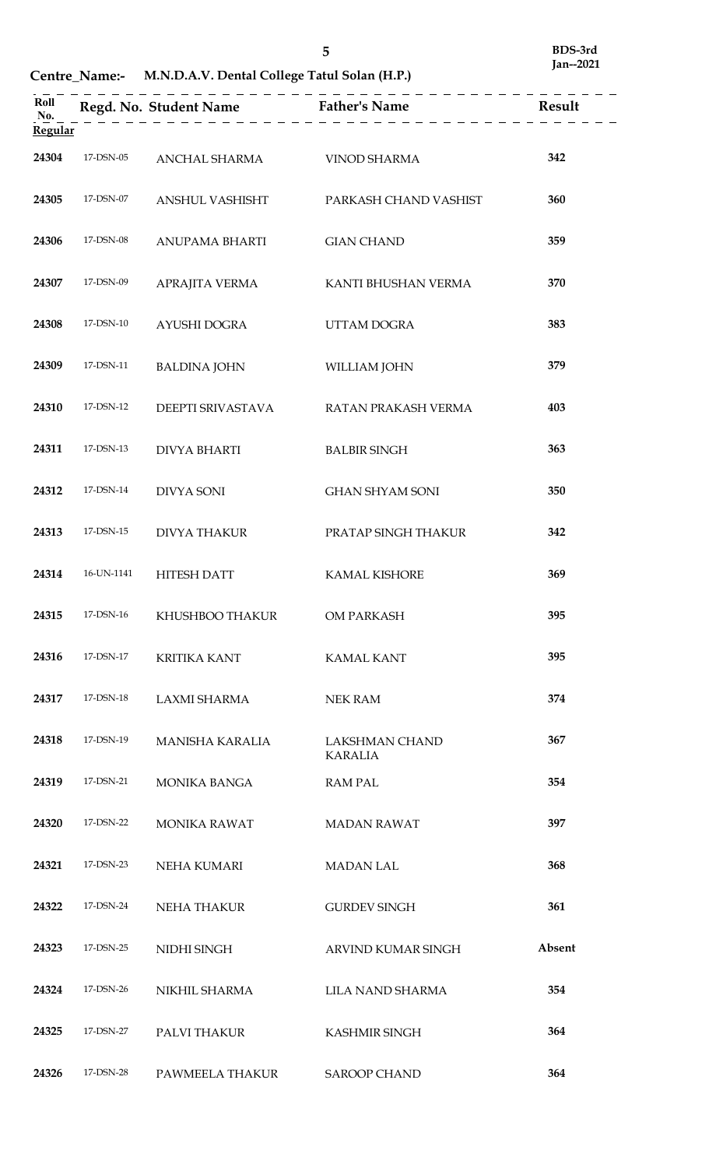# **Centre\_Name:- M.N.D.A.V. Dental College Tatul Solan (H.P.)**

| Roll<br>No.<br>Regular |            |                        | Regd. No. Student Name<br>$\begin{array}{c} \text{Regd. No. Student Name} \\ \hline \end{array}$ |        |
|------------------------|------------|------------------------|--------------------------------------------------------------------------------------------------|--------|
| 24304                  | 17-DSN-05  | ANCHAL SHARMA          | <b>VINOD SHARMA</b>                                                                              | 342    |
| 24305                  | 17-DSN-07  | ANSHUL VASHISHT        | PARKASH CHAND VASHIST                                                                            | 360    |
| 24306                  | 17-DSN-08  | <b>ANUPAMA BHARTI</b>  | <b>GIAN CHAND</b>                                                                                | 359    |
| 24307                  | 17-DSN-09  | APRAJITA VERMA         | KANTI BHUSHAN VERMA                                                                              | 370    |
| 24308                  | 17-DSN-10  | AYUSHI DOGRA           | UTTAM DOGRA                                                                                      | 383    |
| 24309                  | 17-DSN-11  | <b>BALDINA JOHN</b>    | WILLIAM JOHN                                                                                     | 379    |
| 24310                  | 17-DSN-12  | DEEPTI SRIVASTAVA      | RATAN PRAKASH VERMA                                                                              | 403    |
| 24311                  | 17-DSN-13  | <b>DIVYA BHARTI</b>    | <b>BALBIR SINGH</b>                                                                              | 363    |
| 24312                  | 17-DSN-14  | <b>DIVYA SONI</b>      | <b>GHAN SHYAM SONI</b>                                                                           | 350    |
| 24313                  | 17-DSN-15  | <b>DIVYA THAKUR</b>    | PRATAP SINGH THAKUR                                                                              | 342    |
| 24314                  | 16-UN-1141 | <b>HITESH DATT</b>     | <b>KAMAL KISHORE</b>                                                                             | 369    |
| 24315                  | 17-DSN-16  | KHUSHBOO THAKUR        | OM PARKASH                                                                                       | 395    |
| 24316                  | 17-DSN-17  | <b>KRITIKA KANT</b>    | <b>KAMAL KANT</b>                                                                                | 395    |
| 24317                  | 17-DSN-18  | <b>LAXMI SHARMA</b>    | <b>NEK RAM</b>                                                                                   | 374    |
| 24318                  | 17-DSN-19  | <b>MANISHA KARALIA</b> | <b>LAKSHMAN CHAND</b><br><b>KARALIA</b>                                                          | 367    |
| 24319                  | 17-DSN-21  | MONIKA BANGA           | <b>RAM PAL</b>                                                                                   | 354    |
| 24320                  | 17-DSN-22  | <b>MONIKA RAWAT</b>    | <b>MADAN RAWAT</b>                                                                               | 397    |
| 24321                  | 17-DSN-23  | NEHA KUMARI            | <b>MADAN LAL</b>                                                                                 | 368    |
| 24322                  | 17-DSN-24  | <b>NEHA THAKUR</b>     | <b>GURDEV SINGH</b>                                                                              | 361    |
| 24323                  | 17-DSN-25  | NIDHI SINGH            | ARVIND KUMAR SINGH                                                                               | Absent |
| 24324                  | 17-DSN-26  | NIKHIL SHARMA          | <b>LILA NAND SHARMA</b>                                                                          | 354    |
| 24325                  | 17-DSN-27  | PALVI THAKUR           | <b>KASHMIR SINGH</b>                                                                             | 364    |
| 24326                  | 17-DSN-28  | PAWMEELA THAKUR        | <b>SAROOP CHAND</b>                                                                              | 364    |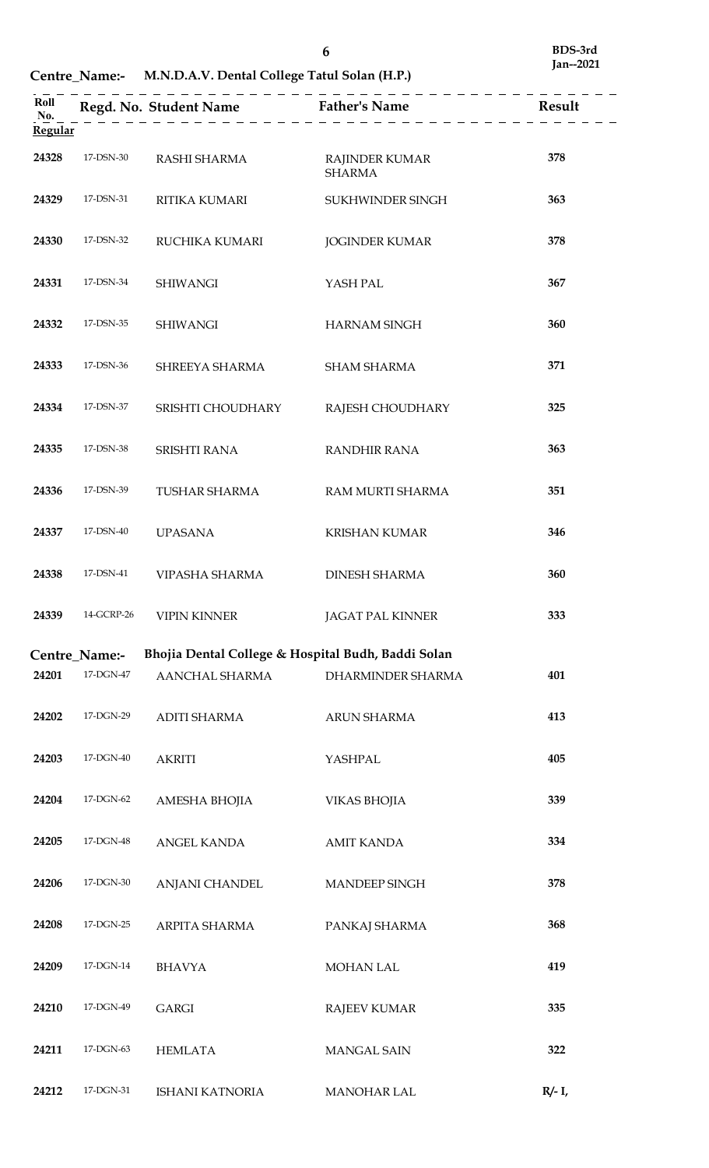| Regular |                            |                                                    | Roll<br>Regd. No. Student Name<br>$\underline{R}$ Father's Name<br>$\underline{R}$ Result<br>$\underline{R}$ Result |           |
|---------|----------------------------|----------------------------------------------------|---------------------------------------------------------------------------------------------------------------------|-----------|
| 24328   | 17-DSN-30                  | RASHI SHARMA                                       | <b>RAJINDER KUMAR</b><br><b>SHARMA</b>                                                                              | 378       |
| 24329   | 17-DSN-31                  | RITIKA KUMARI                                      | SUKHWINDER SINGH                                                                                                    | 363       |
| 24330   | 17-DSN-32                  | RUCHIKA KUMARI                                     | <b>JOGINDER KUMAR</b>                                                                                               | 378       |
| 24331   | 17-DSN-34                  | <b>SHIWANGI</b>                                    | YASH PAL                                                                                                            | 367       |
| 24332   | 17-DSN-35                  | <b>SHIWANGI</b>                                    | <b>HARNAM SINGH</b>                                                                                                 | 360       |
| 24333   | 17-DSN-36                  | SHREEYA SHARMA                                     | <b>SHAM SHARMA</b>                                                                                                  | 371       |
| 24334   | 17-DSN-37                  | SRISHTI CHOUDHARY                                  | RAJESH CHOUDHARY                                                                                                    | 325       |
| 24335   | 17-DSN-38                  | SRISHTI RANA                                       | <b>RANDHIR RANA</b>                                                                                                 | 363       |
| 24336   | 17-DSN-39                  | TUSHAR SHARMA                                      | RAM MURTI SHARMA                                                                                                    | 351       |
| 24337   | 17-DSN-40                  | <b>UPASANA</b>                                     | <b>KRISHAN KUMAR</b>                                                                                                | 346       |
| 24338   | 17-DSN-41                  | VIPASHA SHARMA                                     | <b>DINESH SHARMA</b>                                                                                                | 360       |
| 24339   | 14-GCRP-26                 | <b>VIPIN KINNER</b>                                | JAGAT PAL KINNER                                                                                                    | 333       |
|         | Centre Name:-              | Bhojia Dental College & Hospital Budh, Baddi Solan |                                                                                                                     |           |
| 24201   | 17-DGN-47                  | AANCHAL SHARMA                                     | DHARMINDER SHARMA                                                                                                   | 401       |
| 24202   | 17-DGN-29                  | <b>ADITI SHARMA</b>                                | <b>ARUN SHARMA</b>                                                                                                  | 413       |
| 24203   | 17-DGN-40                  | <b>AKRITI</b>                                      | YASHPAL                                                                                                             | 405       |
| 24204   | $17\mbox{-} \text{DGN-}62$ | AMESHA BHOJIA                                      | <b>VIKAS BHOJIA</b>                                                                                                 | 339       |
| 24205   | $17\mbox{-} \text{DGN-}48$ | ANGEL KANDA                                        | <b>AMIT KANDA</b>                                                                                                   | 334       |
| 24206   | $17\mbox{-} \text{DGN-}30$ | ANJANI CHANDEL                                     | MANDEEP SINGH                                                                                                       | 378       |
| 24208   | 17-DGN-25                  | ARPITA SHARMA                                      | PANKAJ SHARMA                                                                                                       | 368       |
| 24209   | 17-DGN-14                  | <b>BHAVYA</b>                                      | MOHAN LAL                                                                                                           | 419       |
| 24210   | 17-DGN-49                  | <b>GARGI</b>                                       | <b>RAJEEV KUMAR</b>                                                                                                 | 335       |
| 24211   | 17-DGN-63                  | <b>HEMLATA</b>                                     | <b>MANGAL SAIN</b>                                                                                                  | 322       |
| 24212   | 17-DGN-31                  | <b>ISHANI KATNORIA</b>                             | <b>MANOHAR LAL</b>                                                                                                  | $R/- I$ , |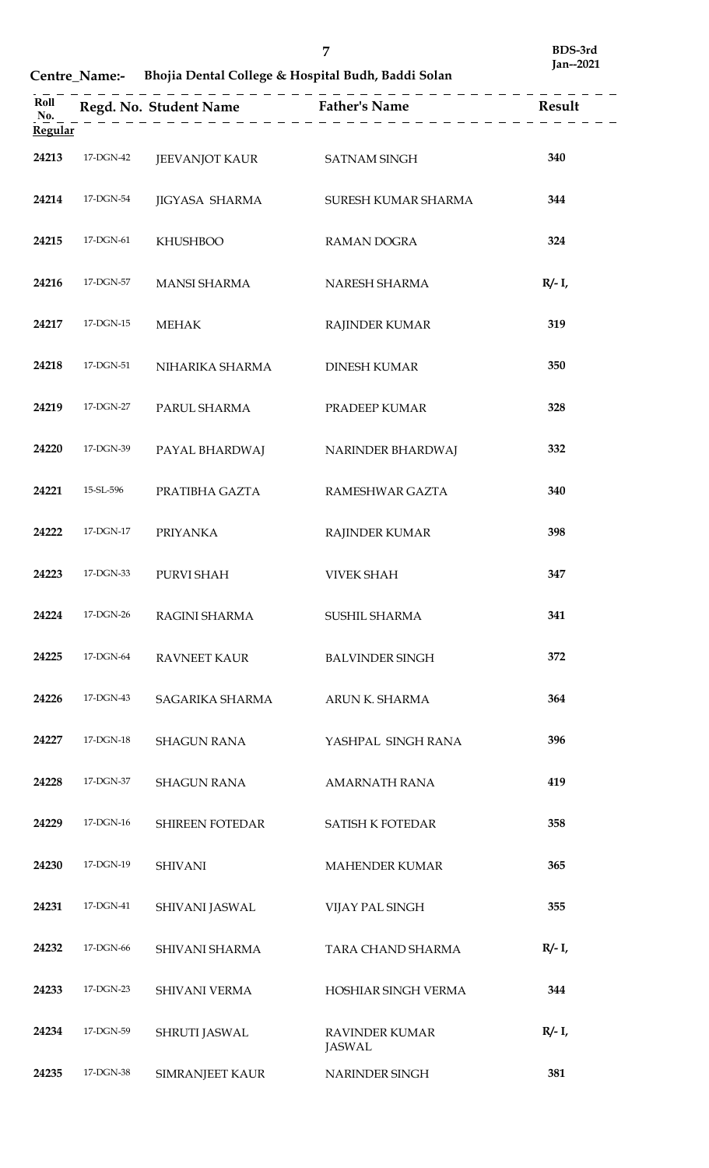**Centre\_Name:- Bhojia Dental College & Hospital Budh, Baddi Solan**

| Roll<br>No.<br><b>Regular</b> |           |                             | Regd. No. Student Name Father's Name Result |           |
|-------------------------------|-----------|-----------------------------|---------------------------------------------|-----------|
| 24213                         | 17-DGN-42 | JEEVANJOT KAUR SATNAM SINGH |                                             | 340       |
| 24214                         | 17-DGN-54 | JIGYASA SHARMA              | SURESH KUMAR SHARMA                         | 344       |
| 24215                         | 17-DGN-61 | <b>KHUSHBOO</b>             | RAMAN DOGRA                                 | 324       |
| 24216                         | 17-DGN-57 | <b>MANSI SHARMA</b>         | NARESH SHARMA                               | $R/- I$   |
| 24217                         | 17-DGN-15 | <b>MEHAK</b>                | RAJINDER KUMAR                              | 319       |
| 24218                         | 17-DGN-51 | NIHARIKA SHARMA             | <b>DINESH KUMAR</b>                         | 350       |
| 24219                         | 17-DGN-27 | PARUL SHARMA                | PRADEEP KUMAR                               | 328       |
| 24220                         | 17-DGN-39 | PAYAL BHARDWAJ              | NARINDER BHARDWAJ                           | 332       |
| 24221                         | 15-SL-596 | PRATIBHA GAZTA              | RAMESHWAR GAZTA                             | 340       |
| 24222                         | 17-DGN-17 | <b>PRIYANKA</b>             | <b>RAJINDER KUMAR</b>                       | 398       |
| 24223                         | 17-DGN-33 | PURVI SHAH                  | <b>VIVEK SHAH</b>                           | 347       |
| 24224                         | 17-DGN-26 | RAGINI SHARMA               | SUSHIL SHARMA                               | 341       |
| 24225                         | 17-DGN-64 | <b>RAVNEET KAUR</b>         | <b>BALVINDER SINGH</b>                      | 372       |
| 24226                         | 17-DGN-43 | SAGARIKA SHARMA             | ARUN K. SHARMA                              | 364       |
| 24227                         | 17-DGN-18 | <b>SHAGUN RANA</b>          | YASHPAL SINGH RANA                          | 396       |
| 24228                         | 17-DGN-37 | <b>SHAGUN RANA</b>          | <b>AMARNATH RANA</b>                        | 419       |
| 24229                         | 17-DGN-16 | <b>SHIREEN FOTEDAR</b>      | <b>SATISH K FOTEDAR</b>                     | 358       |
| 24230                         | 17-DGN-19 | <b>SHIVANI</b>              | MAHENDER KUMAR                              | 365       |
| 24231                         | 17-DGN-41 | SHIVANI JASWAL              | VIJAY PAL SINGH                             | 355       |
| 24232                         | 17-DGN-66 | SHIVANI SHARMA              | TARA CHAND SHARMA                           | $R/- I$ , |
| 24233                         | 17-DGN-23 | SHIVANI VERMA               | HOSHIAR SINGH VERMA                         | 344       |
| 24234                         | 17-DGN-59 | SHRUTI JASWAL               | <b>RAVINDER KUMAR</b><br><b>JASWAL</b>      | $R/- I$ , |
| 24235                         | 17-DGN-38 | <b>SIMRANJEET KAUR</b>      | NARINDER SINGH                              | 381       |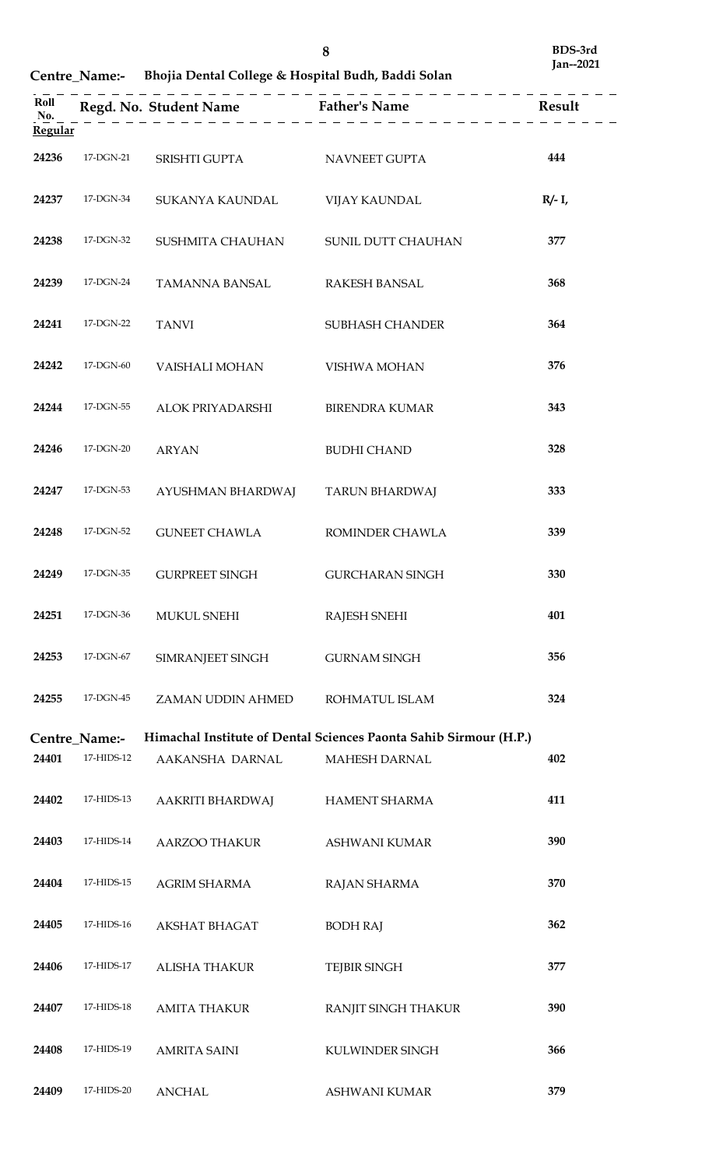**Centre\_Name:- Bhojia Dental College & Hospital Budh, Baddi Solan**

| <b>Regular</b> |                 |                                             | Regd. No. Student Name<br>$\underline{N_0}.$ Result<br>Result<br>$\underline{N_0}.$ |           |
|----------------|-----------------|---------------------------------------------|-------------------------------------------------------------------------------------|-----------|
|                |                 | 24236 17-DGN-21 SRISHTI GUPTA NAVNEET GUPTA |                                                                                     | 444       |
|                | 24237 17-DGN-34 | SUKANYA KAUNDAL                             | <b>VIJAY KAUNDAL</b>                                                                | $R/- I$ , |
| 24238          | 17-DGN-32       | SUSHMITA CHAUHAN SUNIL DUTT CHAUHAN         |                                                                                     | 377       |
| 24239          | 17-DGN-24       | TAMANNA BANSAL RAKESH BANSAL                |                                                                                     | 368       |
|                | 24241 17-DGN-22 | <b>TANVI</b>                                | <b>SUBHASH CHANDER</b>                                                              | 364       |
|                | 24242 17-DGN-60 | VAISHALI MOHAN                              | VISHWA MOHAN                                                                        | 376       |
| 24244          | 17-DGN-55       | ALOK PRIYADARSHI                            | <b>BIRENDRA KUMAR</b>                                                               | 343       |
|                | 24246 17-DGN-20 | <b>ARYAN</b>                                | <b>BUDHI CHAND</b>                                                                  | 328       |
| 24247          | 17-DGN-53       | AYUSHMAN BHARDWAJ TARUN BHARDWAJ            |                                                                                     | 333       |
| 24248          | 17-DGN-52       | GUNEET CHAWLA                               | ROMINDER CHAWLA                                                                     | 339       |
| 24249          | 17-DGN-35       | <b>GURPREET SINGH</b>                       | <b>GURCHARAN SINGH</b>                                                              | 330       |
| 24251          | 17-DGN-36       | <b>MUKUL SNEHI</b>                          | <b>RAJESH SNEHI</b>                                                                 | 401       |
| 24253          | 17-DGN-67       | SIMRANJEET SINGH                            | <b>GURNAM SINGH</b>                                                                 | 356       |
| 24255          | 17-DGN-45       | ZAMAN UDDIN AHMED                           | ROHMATUL ISLAM                                                                      | 324       |
|                | Centre_Name:-   |                                             | Himachal Institute of Dental Sciences Paonta Sahib Sirmour (H.P.)                   |           |
| 24401          | 17-HIDS-12      | AAKANSHA DARNAL                             | MAHESH DARNAL                                                                       | 402       |
| 24402          | 17-HIDS-13      | AAKRITI BHARDWAJ                            | HAMENT SHARMA                                                                       | 411       |
| 24403          | 17-HIDS-14      | AARZOO THAKUR                               | ASHWANI KUMAR                                                                       | 390       |
| 24404          | 17-HIDS-15      | <b>AGRIM SHARMA</b>                         | RAJAN SHARMA                                                                        | 370       |
| 24405          | 17-HIDS-16      | AKSHAT BHAGAT                               | <b>BODH RAJ</b>                                                                     | 362       |
| 24406          | 17-HIDS-17      | ALISHA THAKUR                               | <b>TEJBIR SINGH</b>                                                                 | 377       |
| 24407          | 17-HIDS-18      | <b>AMITA THAKUR</b>                         | RANJIT SINGH THAKUR                                                                 | 390       |
| 24408          | 17-HIDS-19      | <b>AMRITA SAINI</b>                         | KULWINDER SINGH                                                                     | 366       |
| 24409          | 17-HIDS-20      | <b>ANCHAL</b>                               | <b>ASHWANI KUMAR</b>                                                                | 379       |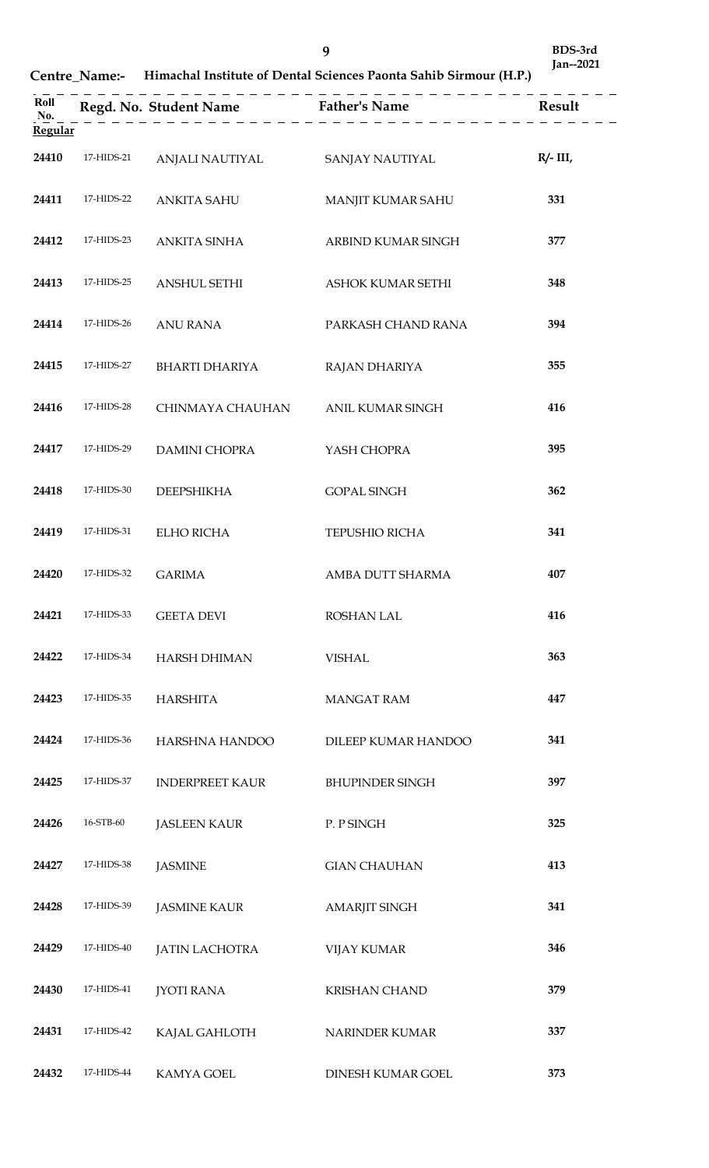**BDS-3rd Jan--2021**

**Centre\_Name:- Himachal Institute of Dental Sciences Paonta Sahib Sirmour (H.P.)**

| Roll<br>No.<br><b>Regular</b> |            |                        | Regd. No. Student Name Father's Name Result |             |
|-------------------------------|------------|------------------------|---------------------------------------------|-------------|
| 24410                         | 17-HIDS-21 | ANJALI NAUTIYAL        | SANJAY NAUTIYAL                             | $R/- III$ , |
| 24411                         | 17-HIDS-22 | ANKITA SAHU            | MANJIT KUMAR SAHU                           | 331         |
| 24412                         | 17-HIDS-23 | ANKITA SINHA           | ARBIND KUMAR SINGH                          | 377         |
| 24413                         | 17-HIDS-25 | <b>ANSHUL SETHI</b>    | ASHOK KUMAR SETHI                           | 348         |
| 24414                         | 17-HIDS-26 | <b>ANU RANA</b>        | PARKASH CHAND RANA                          | 394         |
| 24415                         | 17-HIDS-27 | <b>BHARTI DHARIYA</b>  | RAJAN DHARIYA                               | 355         |
| 24416                         | 17-HIDS-28 | CHINMAYA CHAUHAN       | ANIL KUMAR SINGH                            | 416         |
| 24417                         | 17-HIDS-29 | <b>DAMINI CHOPRA</b>   | YASH CHOPRA                                 | 395         |
| 24418                         | 17-HIDS-30 | <b>DEEPSHIKHA</b>      | <b>GOPAL SINGH</b>                          | 362         |
| 24419                         | 17-HIDS-31 | <b>ELHO RICHA</b>      | TEPUSHIO RICHA                              | 341         |
| 24420                         | 17-HIDS-32 | <b>GARIMA</b>          | AMBA DUTT SHARMA                            | 407         |
| 24421                         | 17-HIDS-33 | <b>GEETA DEVI</b>      | <b>ROSHAN LAL</b>                           | 416         |
| 24422                         | 17-HIDS-34 | <b>HARSH DHIMAN</b>    | <b>VISHAL</b>                               | 363         |
| 24423                         | 17-HIDS-35 | <b>HARSHITA</b>        | <b>MANGAT RAM</b>                           | 447         |
| 24424                         | 17-HIDS-36 | HARSHNA HANDOO         | DILEEP KUMAR HANDOO                         | 341         |
| 24425                         | 17-HIDS-37 | <b>INDERPREET KAUR</b> | <b>BHUPINDER SINGH</b>                      | 397         |
| 24426                         | 16-STB-60  | <b>JASLEEN KAUR</b>    | P. P SINGH                                  | 325         |
| 24427                         | 17-HIDS-38 | <b>JASMINE</b>         | <b>GIAN CHAUHAN</b>                         | 413         |
| 24428                         | 17-HIDS-39 | <b>JASMINE KAUR</b>    | <b>AMARJIT SINGH</b>                        | 341         |
| 24429                         | 17-HIDS-40 | <b>JATIN LACHOTRA</b>  | <b>VIJAY KUMAR</b>                          | 346         |
| 24430                         | 17-HIDS-41 | <b>JYOTI RANA</b>      | <b>KRISHAN CHAND</b>                        | 379         |
| 24431                         | 17-HIDS-42 | KAJAL GAHLOTH          | NARINDER KUMAR                              | 337         |
| 24432                         | 17-HIDS-44 | KAMYA GOEL             | DINESH KUMAR GOEL                           | 373         |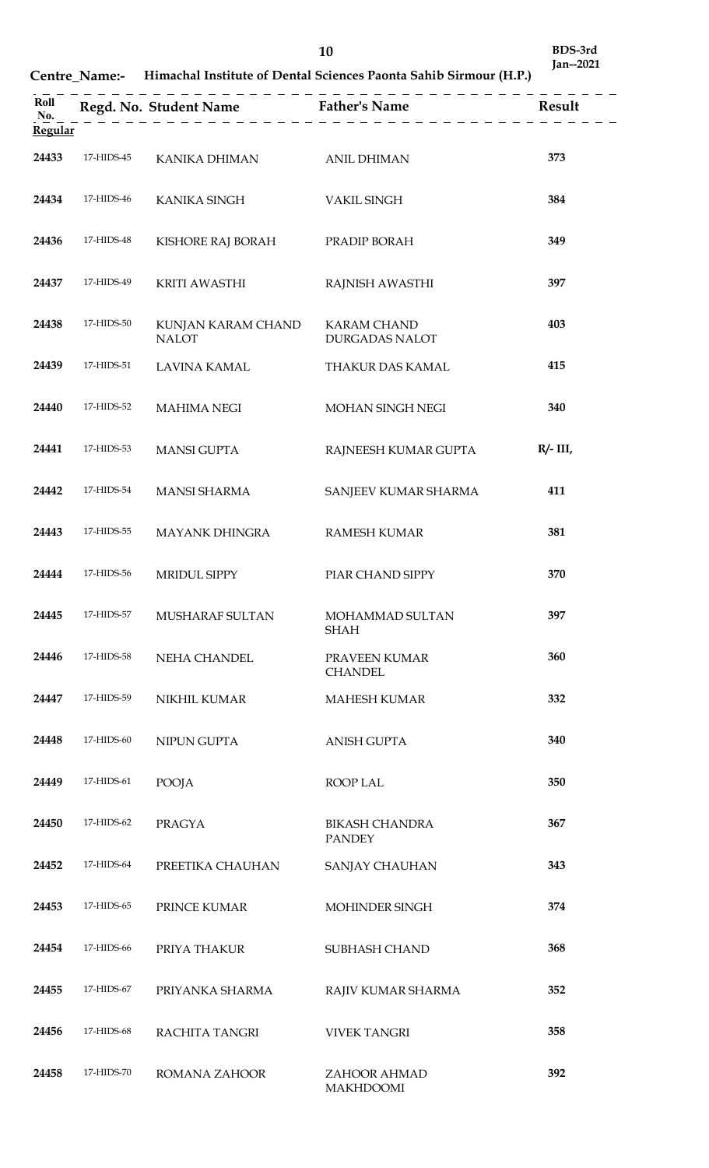**Centre\_Name:- Himachal Institute of Dental Sciences Paonta Sahib Sirmour (H.P.)**

| Roll                  |            |                                    | Regd. No. Student Name Father's Name        | Result      |
|-----------------------|------------|------------------------------------|---------------------------------------------|-------------|
| No.<br><b>Regular</b> |            |                                    |                                             |             |
| 24433                 | 17-HIDS-45 | KANIKA DHIMAN                      | <b>ANIL DHIMAN</b>                          | 373         |
| 24434                 | 17-HIDS-46 | KANIKA SINGH                       | <b>VAKIL SINGH</b>                          | 384         |
| 24436                 | 17-HIDS-48 | KISHORE RAJ BORAH                  | PRADIP BORAH                                | 349         |
| 24437                 | 17-HIDS-49 | <b>KRITI AWASTHI</b>               | RAJNISH AWASTHI                             | 397         |
| 24438                 | 17-HIDS-50 | KUNJAN KARAM CHAND<br><b>NALOT</b> | <b>KARAM CHAND</b><br><b>DURGADAS NALOT</b> | 403         |
| 24439                 | 17-HIDS-51 | LAVINA KAMAL                       | THAKUR DAS KAMAL                            | 415         |
| 24440                 | 17-HIDS-52 | <b>MAHIMA NEGI</b>                 | MOHAN SINGH NEGI                            | 340         |
| 24441                 | 17-HIDS-53 | <b>MANSI GUPTA</b>                 | RAJNEESH KUMAR GUPTA                        | $R/- III$ , |
| 24442                 | 17-HIDS-54 | <b>MANSI SHARMA</b>                | SANJEEV KUMAR SHARMA                        | 411         |
| 24443                 | 17-HIDS-55 | <b>MAYANK DHINGRA</b>              | <b>RAMESH KUMAR</b>                         | 381         |
| 24444                 | 17-HIDS-56 | MRIDUL SIPPY                       | PIAR CHAND SIPPY                            | 370         |
| 24445                 | 17-HIDS-57 | MUSHARAF SULTAN                    | MOHAMMAD SULTAN<br><b>SHAH</b>              | 397         |
| 24446                 | 17-HIDS-58 | NEHA CHANDEL                       | PRAVEEN KUMAR<br><b>CHANDEL</b>             | 360         |
| 24447                 | 17-HIDS-59 | NIKHIL KUMAR                       | <b>MAHESH KUMAR</b>                         | 332         |
| 24448                 | 17-HIDS-60 | NIPUN GUPTA                        | <b>ANISH GUPTA</b>                          | 340         |
| 24449                 | 17-HIDS-61 | POOJA                              | ROOP LAL                                    | 350         |
| 24450                 | 17-HIDS-62 | <b>PRAGYA</b>                      | <b>BIKASH CHANDRA</b><br><b>PANDEY</b>      | 367         |
| 24452                 | 17-HIDS-64 | PREETIKA CHAUHAN                   | SANJAY CHAUHAN                              | 343         |
| 24453                 | 17-HIDS-65 | PRINCE KUMAR                       | MOHINDER SINGH                              | 374         |
| 24454                 | 17-HIDS-66 | PRIYA THAKUR                       | SUBHASH CHAND                               | 368         |
| 24455                 | 17-HIDS-67 | PRIYANKA SHARMA                    | RAJIV KUMAR SHARMA                          | 352         |
| 24456                 | 17-HIDS-68 | RACHITA TANGRI                     | <b>VIVEK TANGRI</b>                         | 358         |
| 24458                 | 17-HIDS-70 | ROMANA ZAHOOR                      | ZAHOOR AHMAD<br><b>MAKHDOOMI</b>            | 392         |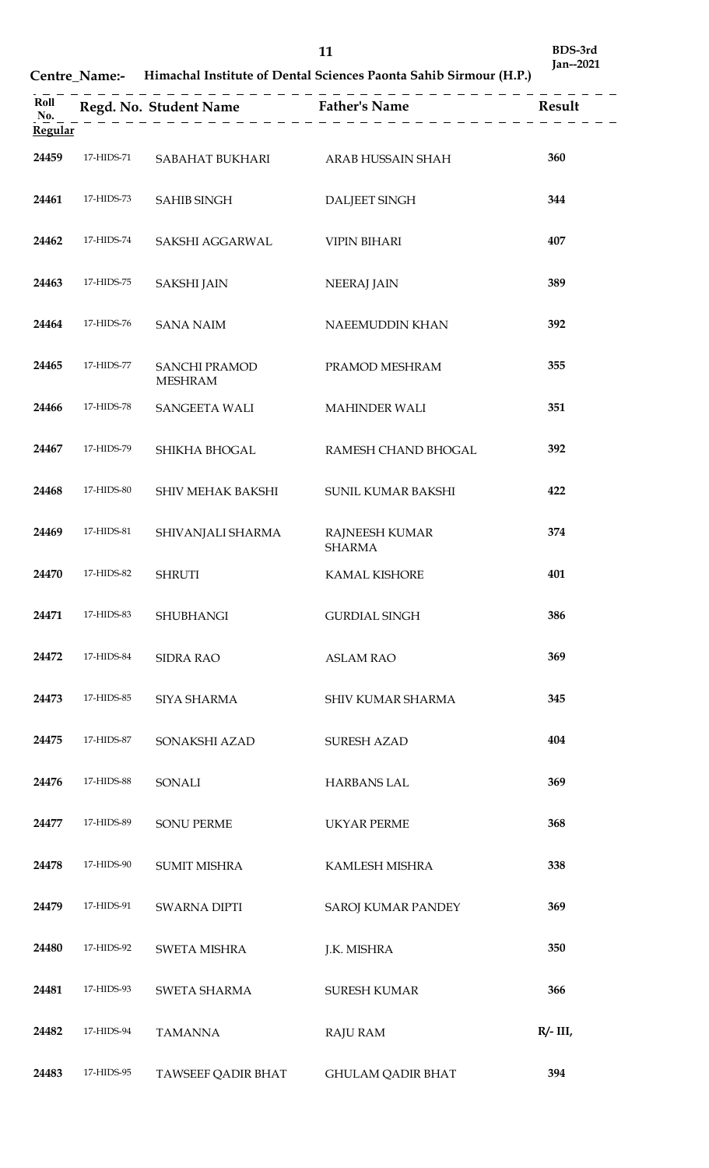**Centre\_Name:- Himachal Institute of Dental Sciences Paonta Sahib Sirmour (H.P.)**

| Roll<br>No.<br>Regular |            |                                        | Regd. No. Student Name Father's Name Result |             |
|------------------------|------------|----------------------------------------|---------------------------------------------|-------------|
| 24459                  | 17-HIDS-71 | SABAHAT BUKHARI                        | ARAB HUSSAIN SHAH                           | 360         |
| 24461                  | 17-HIDS-73 | <b>SAHIB SINGH</b>                     | <b>DALJEET SINGH</b>                        | 344         |
| 24462                  | 17-HIDS-74 | SAKSHI AGGARWAL                        | <b>VIPIN BIHARI</b>                         | 407         |
| 24463                  | 17-HIDS-75 | <b>SAKSHI JAIN</b>                     | <b>NEERAJ JAIN</b>                          | 389         |
| 24464                  | 17-HIDS-76 | <b>SANA NAIM</b>                       | NAEEMUDDIN KHAN                             | 392         |
| 24465                  | 17-HIDS-77 | <b>SANCHI PRAMOD</b><br><b>MESHRAM</b> | PRAMOD MESHRAM                              | 355         |
| 24466                  | 17-HIDS-78 | <b>SANGEETA WALI</b>                   | <b>MAHINDER WALI</b>                        | 351         |
| 24467                  | 17-HIDS-79 | SHIKHA BHOGAL                          | RAMESH CHAND BHOGAL                         | 392         |
| 24468                  | 17-HIDS-80 | SHIV MEHAK BAKSHI                      | SUNIL KUMAR BAKSHI                          | 422         |
| 24469                  | 17-HIDS-81 | SHIVANJALI SHARMA                      | RAJNEESH KUMAR<br><b>SHARMA</b>             | 374         |
| 24470                  | 17-HIDS-82 | <b>SHRUTI</b>                          | KAMAL KISHORE                               | 401         |
| 24471                  | 17-HIDS-83 | <b>SHUBHANGI</b>                       | <b>GURDIAL SINGH</b>                        | 386         |
| 24472                  | 17-HIDS-84 | <b>SIDRA RAO</b>                       | <b>ASLAM RAO</b>                            | 369         |
| 24473                  | 17-HIDS-85 | SIYA SHARMA                            | SHIV KUMAR SHARMA                           | 345         |
| 24475                  | 17-HIDS-87 | SONAKSHI AZAD                          | <b>SURESH AZAD</b>                          | 404         |
| 24476                  | 17-HIDS-88 | SONALI                                 | <b>HARBANS LAL</b>                          | 369         |
| 24477                  | 17-HIDS-89 | <b>SONU PERME</b>                      | <b>UKYAR PERME</b>                          | 368         |
| 24478                  | 17-HIDS-90 | <b>SUMIT MISHRA</b>                    | KAMLESH MISHRA                              | 338         |
| 24479                  | 17-HIDS-91 | <b>SWARNA DIPTI</b>                    | <b>SAROJ KUMAR PANDEY</b>                   | 369         |
| 24480                  | 17-HIDS-92 | <b>SWETA MISHRA</b>                    | J.K. MISHRA                                 | 350         |
| 24481                  | 17-HIDS-93 | SWETA SHARMA                           | <b>SURESH KUMAR</b>                         | 366         |
| 24482                  | 17-HIDS-94 | <b>TAMANNA</b>                         | <b>RAJU RAM</b>                             | $R/- III$ , |
| 24483                  | 17-HIDS-95 | TAWSEEF QADIR BHAT                     | <b>GHULAM QADIR BHAT</b>                    | 394         |